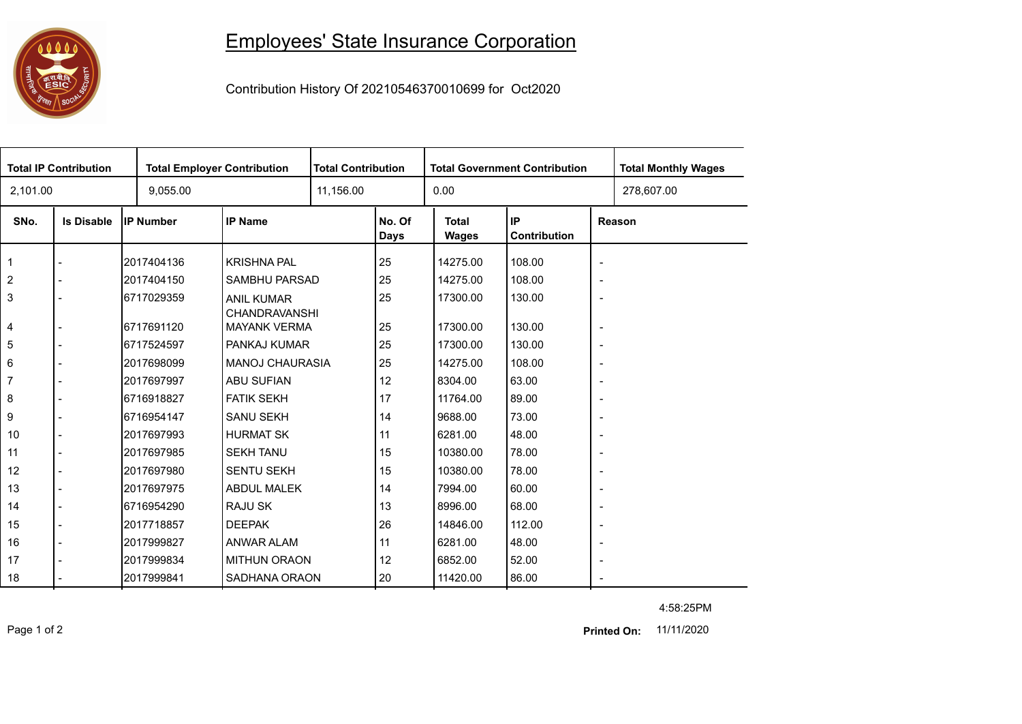## **0000**<br>第四組合

## Employees' State Insurance Corporation

Contribution History Of 20210546370010699 for Oct2020

| <b>Total IP Contribution</b> |                   |                  | <b>Total Employer Contribution</b>          |           | <b>Total Contribution</b> |                       | <b>Total Government Contribution</b> | <b>Total Monthly Wages</b> |            |  |
|------------------------------|-------------------|------------------|---------------------------------------------|-----------|---------------------------|-----------------------|--------------------------------------|----------------------------|------------|--|
| 2,101.00                     |                   | 9,055.00         |                                             | 11,156.00 |                           | 0.00                  |                                      |                            | 278,607.00 |  |
| SNo.                         | <b>Is Disable</b> | <b>IP Number</b> | <b>IP Name</b>                              |           | No. Of<br><b>Days</b>     | <b>Total</b><br>Wages | IP<br>Contribution                   | Reason                     |            |  |
| 1                            |                   | 2017404136       | <b>KRISHNA PAL</b>                          |           | 25                        | 14275.00              | 108.00                               | $\overline{\phantom{a}}$   |            |  |
| $\overline{2}$               |                   | 2017404150       | SAMBHU PARSAD                               |           | 25                        | 14275.00              | 108.00                               | $\overline{\phantom{a}}$   |            |  |
| 3                            |                   | 6717029359       | <b>ANIL KUMAR</b>                           |           | 25                        | 17300.00              | 130.00                               | $\overline{\phantom{a}}$   |            |  |
| 4                            |                   | 6717691120       | <b>CHANDRAVANSHI</b><br><b>MAYANK VERMA</b> |           | 25                        | 17300.00              | 130.00                               | $\overline{\phantom{a}}$   |            |  |
| 5                            |                   | 6717524597       | PANKAJ KUMAR                                |           | 25                        | 17300.00              | 130.00                               | $\overline{\phantom{a}}$   |            |  |
| 6                            |                   | 2017698099       | <b>MANOJ CHAURASIA</b>                      |           | 25                        | 14275.00              | 108.00                               | $\overline{\phantom{a}}$   |            |  |
| 7                            |                   | 2017697997       | ABU SUFIAN                                  |           | 12                        | 8304.00               | 63.00                                | $\overline{\phantom{a}}$   |            |  |
| 8                            |                   | 6716918827       | <b>FATIK SEKH</b>                           |           | 17                        | 11764.00              | 89.00                                | $\overline{\phantom{a}}$   |            |  |
| 9                            |                   | 6716954147       | <b>SANU SEKH</b>                            |           | 14                        | 9688.00               | 73.00                                | $\overline{\phantom{a}}$   |            |  |
| 10                           |                   | 2017697993       | <b>HURMAT SK</b>                            |           | 11                        | 6281.00               | 48.00                                | $\overline{\phantom{a}}$   |            |  |
| 11                           |                   | 2017697985       | <b>SEKH TANU</b>                            |           | 15                        | 10380.00              | 78.00                                | $\overline{\phantom{a}}$   |            |  |
| 12                           |                   | 2017697980       | <b>SENTU SEKH</b>                           |           | 15                        | 10380.00              | 78.00                                | $\overline{\phantom{a}}$   |            |  |
| 13                           |                   | 2017697975       | <b>ABDUL MALEK</b>                          |           | 14                        | 7994.00               | 60.00                                | $\overline{\phantom{a}}$   |            |  |
| 14                           |                   | 6716954290       | RAJU SK                                     |           | 13                        | 8996.00               | 68.00                                | $\overline{\phantom{a}}$   |            |  |
| 15                           |                   | 2017718857       | <b>DEEPAK</b>                               |           | 26                        | 14846.00              | 112.00                               | $\overline{\phantom{a}}$   |            |  |
| 16                           |                   | 2017999827       | ANWAR ALAM                                  |           | 11                        | 6281.00               | 48.00                                | $\overline{\phantom{a}}$   |            |  |
| 17                           |                   | 2017999834       | <b>MITHUN ORAON</b>                         |           | 12                        | 6852.00               | 52.00                                | $\overline{\phantom{a}}$   |            |  |
| 18                           |                   | 2017999841       | SADHANA ORAON                               |           | 20                        | 11420.00              | 86.00                                | $\sim$                     |            |  |

4:58:25PM